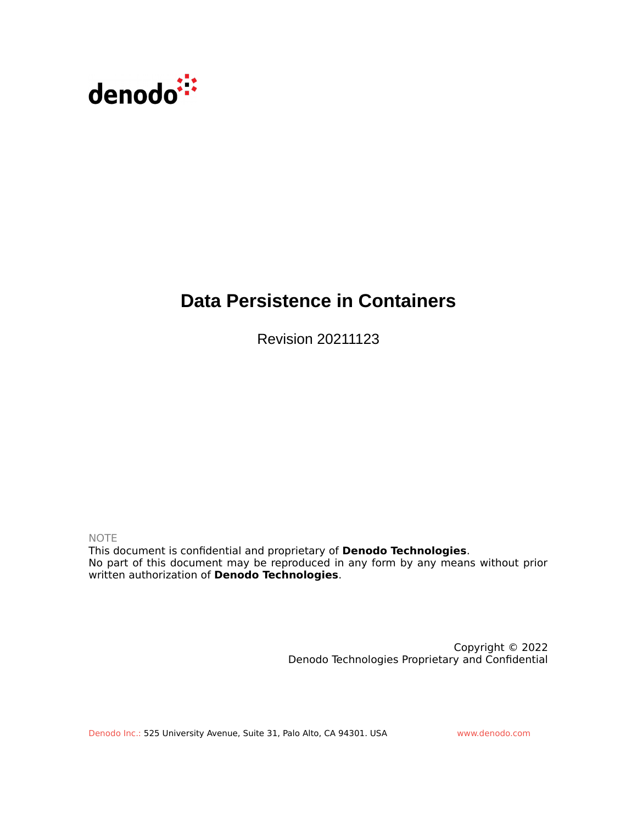

# **Data Persistence in Containers**

Revision 20211123

NOTE

This document is confidential and proprietary of **Denodo Technologies**. No part of this document may be reproduced in any form by any means without prior written authorization of **Denodo Technologies**.

> Copyright © 2022 Denodo Technologies Proprietary and Confidential

Denodo Inc.: 525 University Avenue, Suite 31, Palo Alto, CA 94301. USA www.denodo.com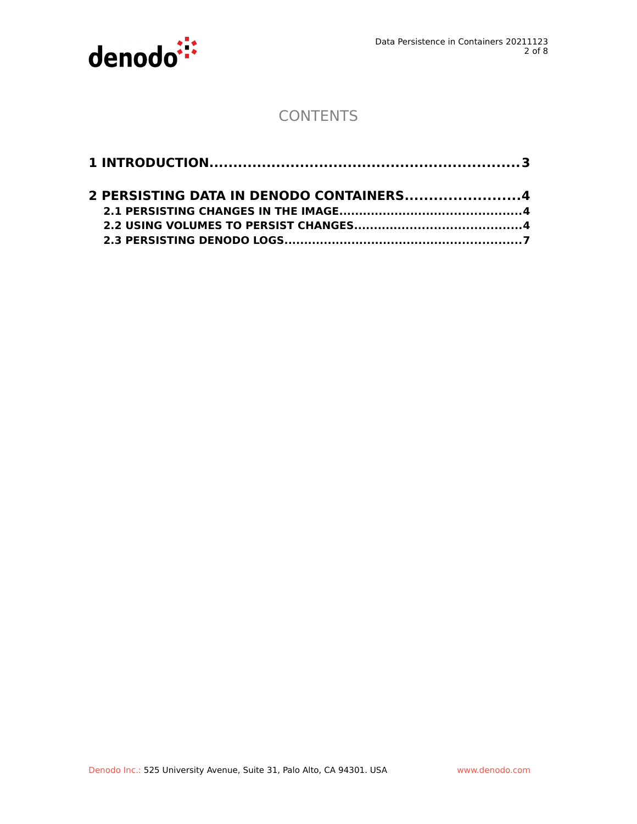

# **CONTENTS**

| 2 PERSISTING DATA IN DENODO CONTAINERS4 |  |
|-----------------------------------------|--|
|                                         |  |
|                                         |  |
|                                         |  |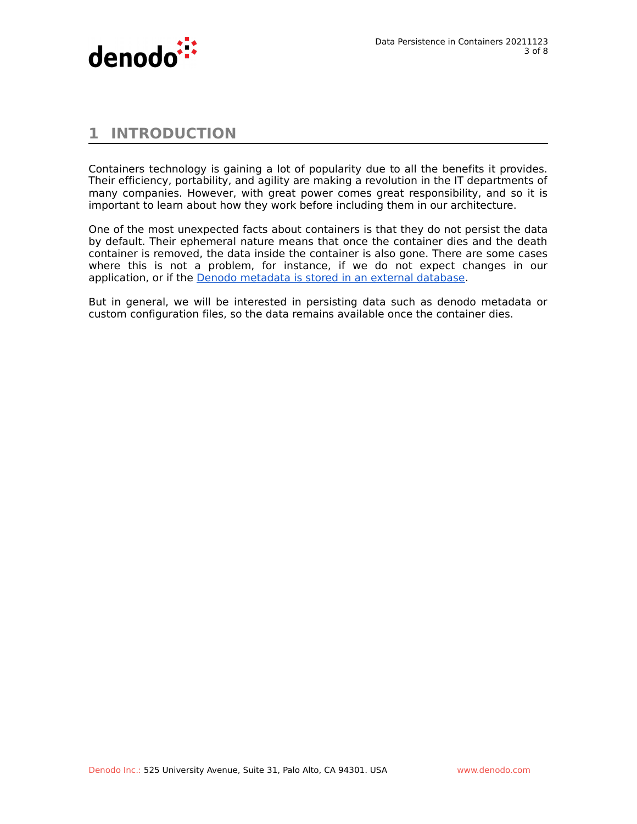

## **1 INTRODUCTION**

Containers technology is gaining a lot of popularity due to all the benefits it provides. Their efficiency, portability, and agility are making a revolution in the IT departments of many companies. However, with great power comes great responsibility, and so it is important to learn about how they work before including them in our architecture.

One of the most unexpected facts about containers is that they do not persist the data by default. Their ephemeral nature means that once the container dies and the death container is removed, the data inside the container is also gone. There are some cases where this is not a problem, for instance, if we do not expect changes in our application, or if the [Denodo metadata is stored in an external database.](https://community.denodo.com/docs/html/browse/latest/vdp/administration/server_configuration/storing_catalog_on_external_database/storing_catalog_on_external_database)

But in general, we will be interested in persisting data such as denodo metadata or custom configuration files, so the data remains available once the container dies.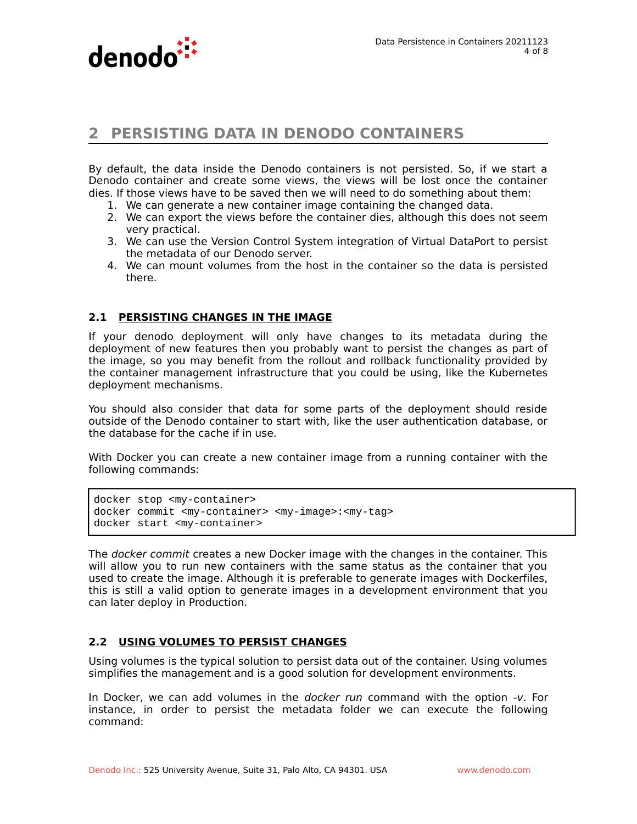

### **2 PERSISTING DATA IN DENODO CONTAINERS**

By default, the data inside the Denodo containers is not persisted. So, if we start a Denodo container and create some views, the views will be lost once the container dies. If those views have to be saved then we will need to do something about them:

- 1. We can generate a new container image containing the changed data.
- 2. We can export the views before the container dies, although this does not seem very practical.
- 3. We can use the Version Control System integration of Virtual DataPort to persist the metadata of our Denodo server.
- 4. We can mount volumes from the host in the container so the data is persisted there.

#### **2.1 PERSISTING CHANGES IN THE IMAGE**

If your denodo deployment will only have changes to its metadata during the deployment of new features then you probably want to persist the changes as part of the image, so you may benefit from the rollout and rollback functionality provided by the container management infrastructure that you could be using, like the Kubernetes deployment mechanisms.

You should also consider that data for some parts of the deployment should reside outside of the Denodo container to start with, like the user authentication database, or the database for the cache if in use.

With Docker you can create a new container image from a running container with the following commands:

```
docker stop <my-container>
docker commit <my-container> <my-image>:<my-tag>
docker start <my-container>
```
The *docker commit* creates a new Docker image with the changes in the container. This will allow you to run new containers with the same status as the container that you used to create the image. Although it is preferable to generate images with Dockerfiles, this is still a valid option to generate images in a development environment that you can later deploy in Production.

#### **2.2 USING VOLUMES TO PERSIST CHANGES**

Using volumes is the typical solution to persist data out of the container. Using volumes simplifies the management and is a good solution for development environments.

In Docker, we can add volumes in the docker run command with the option -v. For instance, in order to persist the metadata folder we can execute the following command: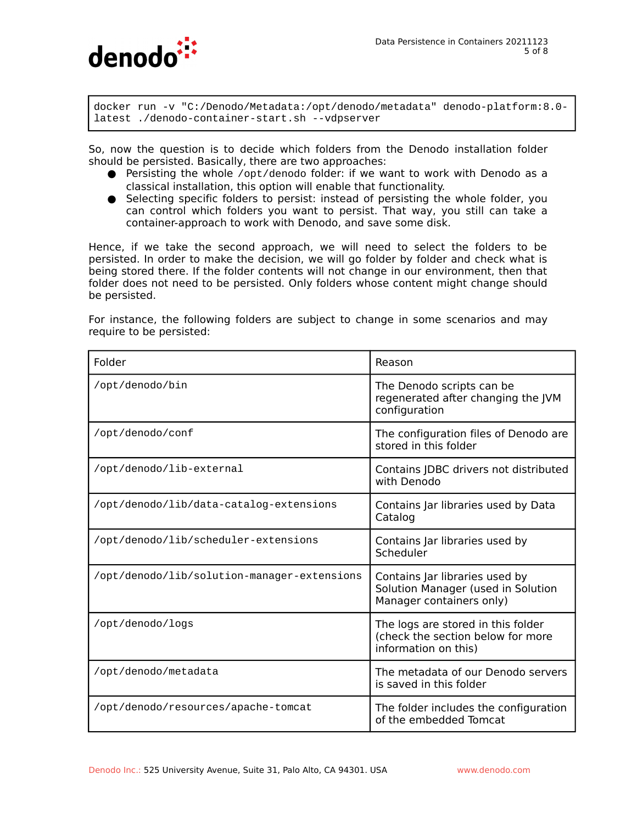

docker run -v "C:/Denodo/Metadata:/opt/denodo/metadata" denodo-platform:8.0 latest ./denodo-container-start.sh --vdpserver

So, now the question is to decide which folders from the Denodo installation folder should be persisted. Basically, there are two approaches:

- Persisting the whole /opt/denodo folder: if we want to work with Denodo as a classical installation, this option will enable that functionality.
- Selecting specific folders to persist: instead of persisting the whole folder, you can control which folders you want to persist. That way, you still can take a container-approach to work with Denodo, and save some disk.

Hence, if we take the second approach, we will need to select the folders to be persisted. In order to make the decision, we will go folder by folder and check what is being stored there. If the folder contents will not change in our environment, then that folder does not need to be persisted. Only folders whose content might change should be persisted.

For instance, the following folders are subject to change in some scenarios and may require to be persisted:

| Folder                                      | Reason                                                                                           |
|---------------------------------------------|--------------------------------------------------------------------------------------------------|
| /opt/denodo/bin                             | The Denodo scripts can be<br>regenerated after changing the JVM<br>configuration                 |
| /opt/denodo/conf                            | The configuration files of Denodo are<br>stored in this folder                                   |
| /opt/denodo/lib-external                    | Contains JDBC drivers not distributed<br>with Denodo                                             |
| /opt/denodo/lib/data-catalog-extensions     | Contains Jar libraries used by Data<br>Catalog                                                   |
| /opt/denodo/lib/scheduler-extensions        | Contains Jar libraries used by<br>Scheduler                                                      |
| /opt/denodo/lib/solution-manager-extensions | Contains Jar libraries used by<br>Solution Manager (used in Solution<br>Manager containers only) |
| /opt/denodo/logs                            | The logs are stored in this folder<br>(check the section below for more<br>information on this)  |
| /opt/denodo/metadata                        | The metadata of our Denodo servers<br>is saved in this folder                                    |
| /opt/denodo/resources/apache-tomcat         | The folder includes the configuration<br>of the embedded Tomcat                                  |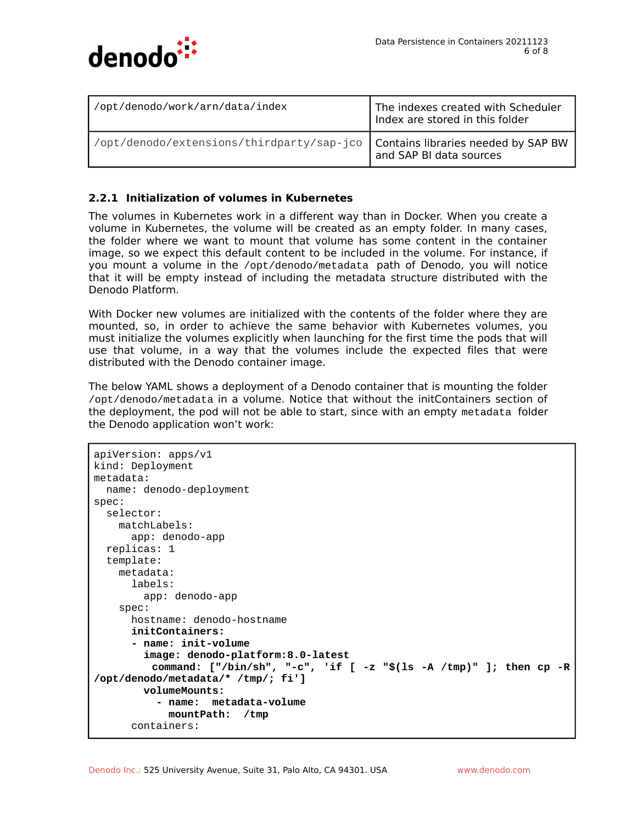

| /opt/denodo/work/arn/data/index                                                 | The indexes created with Scheduler<br>Index are stored in this folder |
|---------------------------------------------------------------------------------|-----------------------------------------------------------------------|
| /opt/denodo/extensions/thirdparty/sap-jco   Contains libraries needed by SAP BW | and SAP BI data sources                                               |

#### **2.2.1 Initialization of volumes in Kubernetes**

The volumes in Kubernetes work in a different way than in Docker. When you create a volume in Kubernetes, the volume will be created as an empty folder. In many cases, the folder where we want to mount that volume has some content in the container image, so we expect this default content to be included in the volume. For instance, if you mount a volume in the /opt/denodo/metadata path of Denodo, you will notice that it will be empty instead of including the metadata structure distributed with the Denodo Platform.

With Docker new volumes are initialized with the contents of the folder where they are mounted, so, in order to achieve the same behavior with Kubernetes volumes, you must initialize the volumes explicitly when launching for the first time the pods that will use that volume, in a way that the volumes include the expected files that were distributed with the Denodo container image.

The below YAML shows a deployment of a Denodo container that is mounting the folder /opt/denodo/metadata in a volume. Notice that without the initContainers section of the deployment, the pod will not be able to start, since with an empty metadata folder the Denodo application won't work:

```
apiVersion: apps/v1
kind: Deployment
metadata:
   name: denodo-deployment
spec:
   selector:
     matchLabels:
       app: denodo-app
   replicas: 1
   template:
     metadata:
       labels:
         app: denodo-app
     spec:
       hostname: denodo-hostname
       initContainers:
       - name: init-volume
         image: denodo-platform:8.0-latest
          command: ["/bin/sh", "-c", 'if [ -z "$(ls -A /tmp)" ]; then cp -R
/opt/denodo/metadata/* /tmp/; fi']
         volumeMounts:
           - name: metadata-volume
             mountPath: /tmp
       containers:
```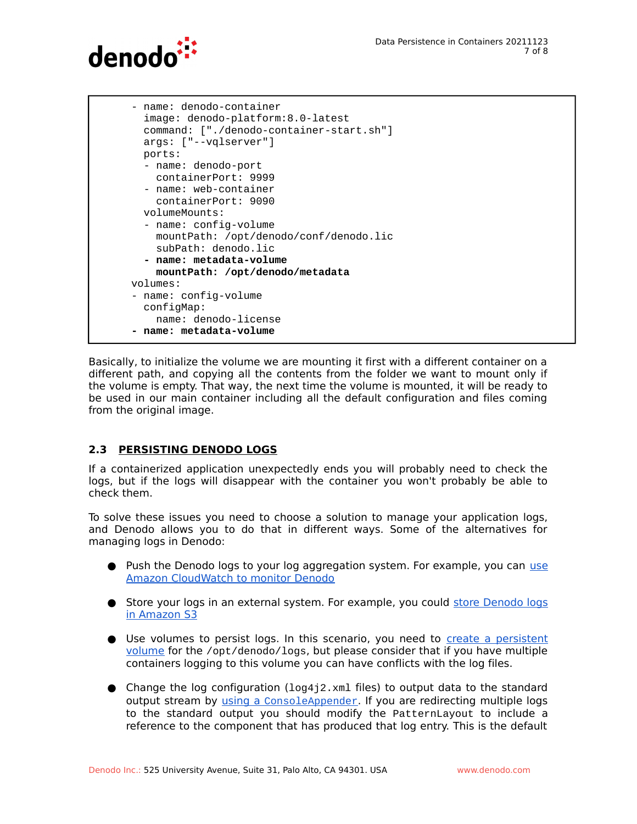

```
 - name: denodo-container
   image: denodo-platform:8.0-latest
   command: ["./denodo-container-start.sh"]
   args: ["--vqlserver"]
   ports: 
   - name: denodo-port
     containerPort: 9999
   - name: web-container
     containerPort: 9090
   volumeMounts:
   - name: config-volume
     mountPath: /opt/denodo/conf/denodo.lic
     subPath: denodo.lic
   - name: metadata-volume
     mountPath: /opt/denodo/metadata
 volumes:
 - name: config-volume
   configMap:
     name: denodo-license
 - name: metadata-volume
```
Basically, to initialize the volume we are mounting it first with a different container on a different path, and copying all the contents from the folder we want to mount only if the volume is empty. That way, the next time the volume is mounted, it will be ready to be used in our main container including all the default configuration and files coming from the original image.

#### **2.3 PERSISTING DENODO LOGS**

If a containerized application unexpectedly ends you will probably need to check the logs, but if the logs will disappear with the container you won't probably be able to check them.

To solve these issues you need to choose a solution to manage your application logs, and Denodo allows you to do that in different ways. Some of the alternatives for managing logs in Denodo:

- Push the Denodo logs to your log aggregation system. For example, you can [use](https://community.denodo.com/kb/view/document/Monitoring%20Denodo%20with%20Amazon%20CloudWatch?category=Operation) [Amazon CloudWatch to monitor Denodo](https://community.denodo.com/kb/view/document/Monitoring%20Denodo%20with%20Amazon%20CloudWatch?category=Operation)
- Store your logs in an external system. For example, you could [store Denodo logs](https://community.denodo.com/kb/view/document/How%20to%20store%20Denodo%20logs%20in%20Amazon%20S3?category=Operation) [in Amazon S3](https://community.denodo.com/kb/view/document/How%20to%20store%20Denodo%20logs%20in%20Amazon%20S3?category=Operation)
- Use volumes to persist logs. In this scenario, you need to [create a persistent](https://kubernetes.io/docs/concepts/storage/persistent-volumes/) [volume](https://kubernetes.io/docs/concepts/storage/persistent-volumes/) for the /opt/denodo/logs, but please consider that if you have multiple containers logging to this volume you can have conflicts with the log files.
- $\bullet$  Change the log configuration (10g4j2.xml files) to output data to the standard output stream by [using a](https://logging.apache.org/log4j/2.x/manual/appenders.html#ConsoleAppender) [ConsoleAppender](https://logging.apache.org/log4j/2.x/manual/appenders.html#ConsoleAppender). If you are redirecting multiple logs to the standard output you should modify the PatternLayout to include a reference to the component that has produced that log entry. This is the default